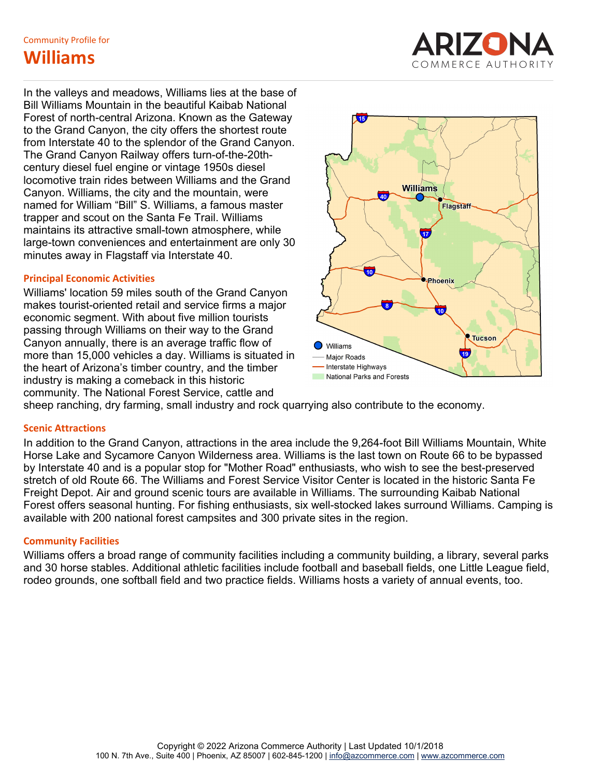**TAS Williams Williams COMMERCE AUTHORIT** 

In the valleys and meadows, Williams lies at the base of Bill Williams Mountain in the beautiful Kaibab National Forest of north-central Arizona. Known as the Gateway to the Grand Canyon, the city offers the shortest route from Interstate 40 to the splendor of the Grand Canyon. The Grand Canyon Railway offers turn-of-the-20thcentury diesel fuel engine or vintage 1950s diesel locomotive train rides between Williams and the Grand Canyon. Williams, the city and the mountain, were named for William "Bill" S. Williams, a famous master trapper and scout on the Santa Fe Trail. Williams maintains its attractive small-town atmosphere, while large-town conveniences and entertainment are only 30 minutes away in Flagstaff via Interstate 40.

# **Principal Economic Activities**

Williams' location 59 miles south of the Grand Canyon makes tourist-oriented retail and service firms a major economic segment. With about five million tourists passing through Williams on their way to the Grand Canyon annually, there is an average traffic flow of  $\qquad \qquad \bullet$  williams more than 15,000 vehicles a day. Williams is situated in  $\overline{a}$   $\overline{a}$   $\overline{a}$   $\overline{a}$   $\overline{a}$ the heart of Arizona's timber country, and the timber Therstate Highways<br>inductor is realisting a semalized in this biotectic industry is making a comeback in this historic community. The National Forest Service, cattle and



sheep ranching, dry farming, small industry and rock quarrying also contribute to the economy.

# **Scenic Attractions**

In addition to the Grand Canyon, attractions in the area include the 9,264-foot Bill Williams Mountain, White Horse Lake and Sycamore Canyon Wilderness area. Williams is the last town on Route 66 to be bypassed by Interstate 40 and is a popular stop for "Mother Road" enthusiasts, who wish to see the best-preserved stretch of old Route 66. The Williams and Forest Service Visitor Center is located in the historic Santa Fe Freight Depot. Air and ground scenic tours are available in Williams. The surrounding Kaibab National Forest offers seasonal hunting. For fishing enthusiasts, six well-stocked lakes surround Williams. Camping is available with 200 national forest campsites and 300 private sites in the region.

# **Community Facilities**

Williams offers a broad range of community facilities including a community building, a library, several parks and 30 horse stables. Additional athletic facilities include football and baseball fields, one Little League field, rodeo grounds, one softball field and two practice fields. Williams hosts a variety of annual events, too.